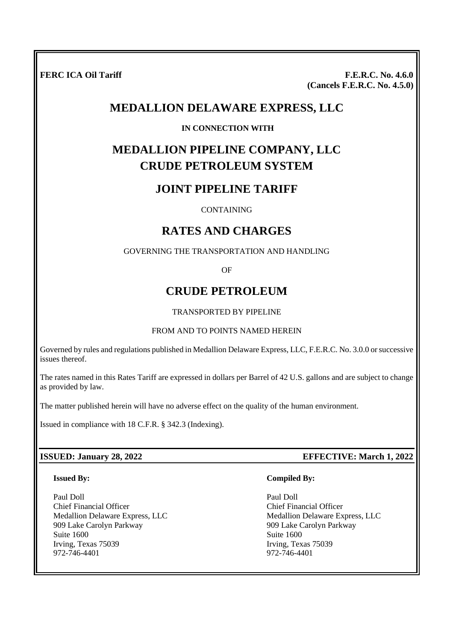**FERC ICA Oil Tariff** F.E.R.C. No. 4.6.0 **(Cancels F.E.R.C. No. 4.5.0)**

## **MEDALLION DELAWARE EXPRESS, LLC**

### **IN CONNECTION WITH**

# **MEDALLION PIPELINE COMPANY, LLC CRUDE PETROLEUM SYSTEM**

## **JOINT PIPELINE TARIFF**

### **CONTAINING**

## **RATES AND CHARGES**

GOVERNING THE TRANSPORTATION AND HANDLING

OF

## **CRUDE PETROLEUM**

### TRANSPORTED BY PIPELINE

### FROM AND TO POINTS NAMED HEREIN

Governed by rules and regulations published in Medallion Delaware Express, LLC, F.E.R.C. No. 3.0.0 or successive issues thereof.

The rates named in this Rates Tariff are expressed in dollars per Barrel of 42 U.S. gallons and are subject to change as provided by law.

The matter published herein will have no adverse effect on the quality of the human environment.

Issued in compliance with 18 C.F.R. § 342.3 (Indexing).

### **Issued By:**

Paul Doll Chief Financial Officer Medallion Delaware Express, LLC 909 Lake Carolyn Parkway Suite 1600 Irving, Texas 75039 972-746-4401

### **ISSUED: January 28, 2022 EFFECTIVE: March 1, 2022**

### **Compiled By:**

Paul Doll Chief Financial Officer Medallion Delaware Express, LLC 909 Lake Carolyn Parkway Suite 1600 Irving, Texas 75039 972-746-4401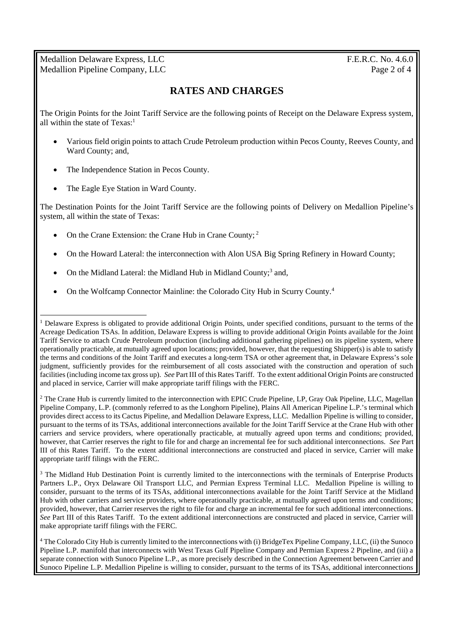Medallion Delaware Express, LLC F.E.R.C. No. 4.6.0 Medallion Pipeline Company, LLC Page 2 of 4

## **RATES AND CHARGES**

The Origin Points for the Joint Tariff Service are the following points of Receipt on the Delaware Express system, all within the state of  $Texas<sup>1</sup>$ 

- Various field origin points to attach Crude Petroleum production within Pecos County, Reeves County, and Ward County; and,
- The Independence Station in Pecos County.
- The Eagle Eye Station in Ward County.

The Destination Points for the Joint Tariff Service are the following points of Delivery on Medallion Pipeline's system, all within the state of Texas:

- On the Crane Extension: the Crane Hub in Crane County; <sup>2</sup>
- On the Howard Lateral: the interconnection with Alon USA Big Spring Refinery in Howard County;
- On the Midland Lateral: the Midland Hub in Midland County;<sup>3</sup> and,
- On the Wolfcamp Connector Mainline: the Colorado City Hub in Scurry County.<sup>4</sup>

<sup>&</sup>lt;sup>1</sup> Delaware Express is obligated to provide additional Origin Points, under specified conditions, pursuant to the terms of the Acreage Dedication TSAs. In addition, Delaware Express is willing to provide additional Origin Points available for the Joint Tariff Service to attach Crude Petroleum production (including additional gathering pipelines) on its pipeline system, where operationally practicable, at mutually agreed upon locations; provided, however, that the requesting Shipper(s) is able to satisfy the terms and conditions of the Joint Tariff and executes a long-term TSA or other agreement that, in Delaware Express's sole judgment, sufficiently provides for the reimbursement of all costs associated with the construction and operation of such facilities (including income tax gross up). *See* Part III of this Rates Tariff. To the extent additional Origin Points are constructed and placed in service, Carrier will make appropriate tariff filings with the FERC.

<sup>&</sup>lt;sup>2</sup> The Crane Hub is currently limited to the interconnection with EPIC Crude Pipeline, LP, Gray Oak Pipeline, LLC, Magellan Pipeline Company, L.P. (commonly referred to as the Longhorn Pipeline), Plains All American Pipeline L.P.'s terminal which provides direct access to its Cactus Pipeline, and Medallion Delaware Express, LLC. Medallion Pipeline is willing to consider, pursuant to the terms of its TSAs, additional interconnections available for the Joint Tariff Service at the Crane Hub with other carriers and service providers, where operationally practicable, at mutually agreed upon terms and conditions; provided, however, that Carrier reserves the right to file for and charge an incremental fee for such additional interconnections. *See* Part III of this Rates Tariff. To the extent additional interconnections are constructed and placed in service, Carrier will make appropriate tariff filings with the FERC.

<sup>&</sup>lt;sup>3</sup> The Midland Hub Destination Point is currently limited to the interconnections with the terminals of Enterprise Products Partners L.P., Oryx Delaware Oil Transport LLC, and Permian Express Terminal LLC. Medallion Pipeline is willing to consider, pursuant to the terms of its TSAs, additional interconnections available for the Joint Tariff Service at the Midland Hub with other carriers and service providers, where operationally practicable, at mutually agreed upon terms and conditions; provided, however, that Carrier reserves the right to file for and charge an incremental fee for such additional interconnections. *See* Part III of this Rates Tariff. To the extent additional interconnections are constructed and placed in service, Carrier will make appropriate tariff filings with the FERC.

<sup>4</sup> The Colorado City Hub is currently limited to the interconnections with (i) BridgeTex Pipeline Company, LLC, (ii) the Sunoco Pipeline L.P. manifold that interconnects with West Texas Gulf Pipeline Company and Permian Express 2 Pipeline, and (iii) a separate connection with Sunoco Pipeline L.P., as more precisely described in the Connection Agreement between Carrier and Sunoco Pipeline L.P. Medallion Pipeline is willing to consider, pursuant to the terms of its TSAs, additional interconnections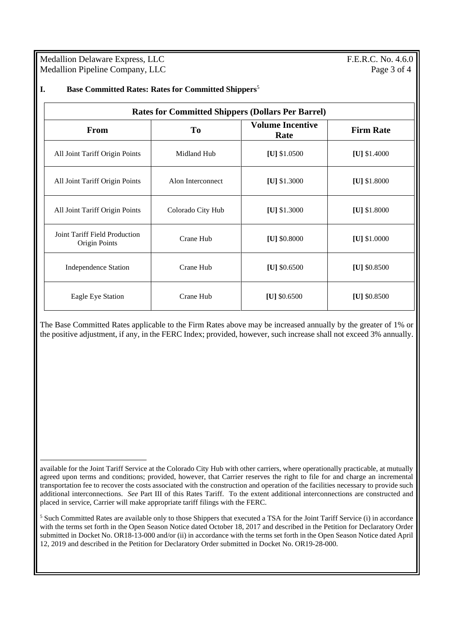Medallion Delaware Express, LLC F.E.R.C. No. 4.6.0 Medallion Pipeline Company, LLC Page 3 of 4

| <b>Rates for Committed Shippers (Dollars Per Barrel)</b> |                   |                                 |                  |
|----------------------------------------------------------|-------------------|---------------------------------|------------------|
| <b>From</b>                                              | T <sub>0</sub>    | <b>Volume Incentive</b><br>Rate | <b>Firm Rate</b> |
| All Joint Tariff Origin Points                           | Midland Hub       | [U] $$1.0500$                   | [U] $$1.4000$    |
| All Joint Tariff Origin Points                           | Alon Interconnect | [U] $$1.3000$                   | [U] $$1.8000$    |
| All Joint Tariff Origin Points                           | Colorado City Hub | [U] \$1.3000                    | [U] $$1.8000$    |
| Joint Tariff Field Production<br>Origin Points           | Crane Hub         | [U] \$0.8000                    | [U] $$1.0000$    |
| <b>Independence Station</b>                              | Crane Hub         | [U] $$0.6500$                   | [U] $$0.8500$    |
| Eagle Eye Station                                        | Crane Hub         | [U] $$0.6500$                   | [U] $$0.8500$    |

The Base Committed Rates applicable to the Firm Rates above may be increased annually by the greater of 1% or the positive adjustment, if any, in the FERC Index; provided, however, such increase shall not exceed 3% annually.

available for the Joint Tariff Service at the Colorado City Hub with other carriers, where operationally practicable, at mutually agreed upon terms and conditions; provided, however, that Carrier reserves the right to file for and charge an incremental transportation fee to recover the costs associated with the construction and operation of the facilities necessary to provide such additional interconnections. *See* Part III of this Rates Tariff. To the extent additional interconnections are constructed and placed in service, Carrier will make appropriate tariff filings with the FERC.

<sup>5</sup> Such Committed Rates are available only to those Shippers that executed a TSA for the Joint Tariff Service (i) in accordance with the terms set forth in the Open Season Notice dated October 18, 2017 and described in the Petition for Declaratory Order submitted in Docket No. OR18-13-000 and/or (ii) in accordance with the terms set forth in the Open Season Notice dated April 12, 2019 and described in the Petition for Declaratory Order submitted in Docket No. OR19-28-000.